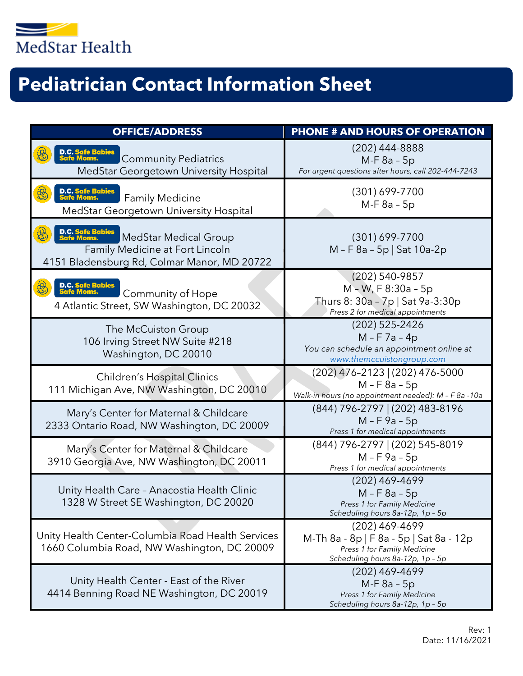

## **Pediatrician Contact Information Sheet**

| <b>OFFICE/ADDRESS</b>                                                                                                                            | <b>PHONE # AND HOURS OF OPERATION</b>                                                                                        |  |  |
|--------------------------------------------------------------------------------------------------------------------------------------------------|------------------------------------------------------------------------------------------------------------------------------|--|--|
| D.C. Safe Babies<br>Safe Moms.<br><b>Community Pediatrics</b><br>MedStar Georgetown University Hospital                                          | (202) 444-8888<br>$M-F 8a - 5p$<br>For urgent questions after hours, call 202-444-7243                                       |  |  |
| D.C. Safe Babies<br>Safe Moms.<br><b>Family Medicine</b><br>MedStar Georgetown University Hospital                                               | $(301) 699 - 7700$<br>$M-F 8a - 5p$                                                                                          |  |  |
| D.C. Safe Babies<br>Safe Moms.<br><b>MedStar Medical Group</b><br>Family Medicine at Fort Lincoln<br>4151 Bladensburg Rd, Colmar Manor, MD 20722 | $(301) 699 - 7700$<br>M - F 8a - 5p   Sat 10a-2p                                                                             |  |  |
| D.C. Safe Babies<br>Safe Moms.<br><b>Community of Hope</b><br>4 Atlantic Street, SW Washington, DC 20032                                         | (202) 540-9857<br>M - W, F 8:30a - 5p<br>Thurs 8: 30a - 7p   Sat 9a-3:30p<br>Press 2 for medical appointments                |  |  |
| The McCuiston Group<br>106 Irving Street NW Suite #218<br>Washington, DC 20010                                                                   | (202) 525-2426<br>$M - F$ 7a - 4p<br>You can schedule an appointment online at<br>www.themccuistongroup.com                  |  |  |
| <b>Children's Hospital Clinics</b><br>111 Michigan Ave, NW Washington, DC 20010                                                                  | (202) 476-2123   (202) 476-5000<br>$M - F$ 8a - 5p<br>Walk-in hours (no appointment needed): M - F 8a -10a                   |  |  |
| Mary's Center for Maternal & Childcare<br>2333 Ontario Road, NW Washington, DC 20009                                                             | (844) 796-2797   (202) 483-8196<br>$M - F$ 9a - 5p<br>Press 1 for medical appointments                                       |  |  |
| Mary's Center for Maternal & Childcare<br>3910 Georgia Ave, NW Washington, DC 20011                                                              | (844) 796-2797   (202) 545-8019<br>$M - F$ 9a - 5p<br>Press 1 for medical appointments                                       |  |  |
| Unity Health Care - Anacostia Health Clinic<br>1328 W Street SE Washington, DC 20020                                                             | (202) 469-4699<br>$M - F 8a - 5p$<br>Press 1 for Family Medicine<br>Scheduling hours 8a-12p, 1p - 5p                         |  |  |
| Unity Health Center-Columbia Road Health Services<br>1660 Columbia Road, NW Washington, DC 20009                                                 | (202) 469-4699<br>M-Th 8a - 8p   F 8a - 5p   Sat 8a - 12p<br>Press 1 for Family Medicine<br>Scheduling hours 8a-12p, 1p - 5p |  |  |
| Unity Health Center - East of the River<br>4414 Benning Road NE Washington, DC 20019                                                             | $(202)$ 469-4699<br>$M-F 8a - 5p$<br>Press 1 for Family Medicine<br>Scheduling hours 8a-12p, 1p - 5p                         |  |  |